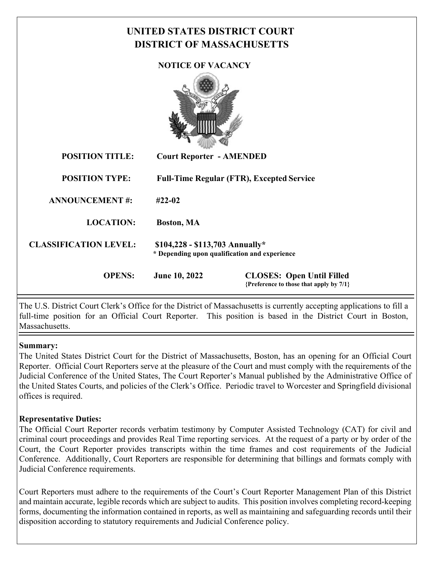# **UNITED STATES DISTRICT COURT DISTRICT OF MASSACHUSETTS NOTICE OF VACANCY POSITION TITLE: Court Reporter - AMENDED POSITION TYPE: Full-Time Regular (FTR), Excepted Service ANNOUNCEMENT #: #22-02 LOCATION: Boston, MA CLASSIFICATION LEVEL: \$104,228 - \$113,703 Annually\* \* Depending upon qualification and experience OPENS: June 10, 2022 CLOSES: Open Until Filled {Preference to those that apply by 7/1}**

The U.S. District Court Clerk's Office for the District of Massachusetts is currently accepting applications to fill a full-time position for an Official Court Reporter. This position is based in the District Court in Boston, **Massachusetts** 

#### **Summary:**

The United States District Court for the District of Massachusetts, Boston, has an opening for an Official Court Reporter. Official Court Reporters serve at the pleasure of the Court and must comply with the requirements of the Judicial Conference of the United States, The Court Reporter's Manual published by the Administrative Office of the United States Courts, and policies of the Clerk's Office. Periodic travel to Worcester and Springfield divisional offices is required.

## **Representative Duties:**

The Official Court Reporter records verbatim testimony by Computer Assisted Technology (CAT) for civil and criminal court proceedings and provides Real Time reporting services. At the request of a party or by order of the Court, the Court Reporter provides transcripts within the time frames and cost requirements of the Judicial Conference. Additionally, Court Reporters are responsible for determining that billings and formats comply with Judicial Conference requirements.

Court Reporters must adhere to the requirements of the Court's Court Reporter Management Plan of this District and maintain accurate, legible records which are subject to audits. This position involves completing record-keeping forms, documenting the information contained in reports, as well as maintaining and safeguarding records until their disposition according to statutory requirements and Judicial Conference policy.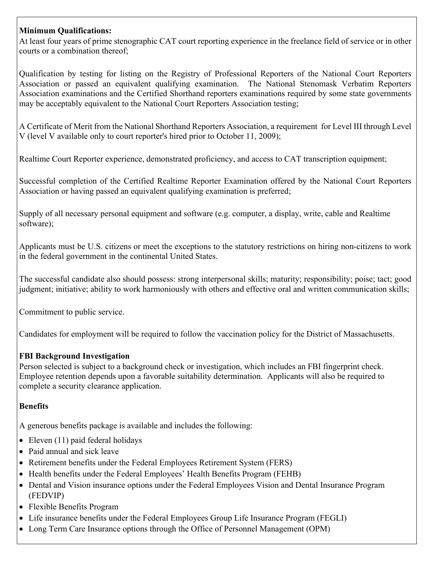## **Minimum Qualifications:**

At least four years of prime stenographic CAT court reporting experience in the freelance field of service or in other courts or a combination thereof;

Qualification by testing for listing on the Registry of Professional Reporters of the National Court Reporters Association or passed an equivalent qualifying examination. The National Stenomask Verbatim Reporters Association examinations and the Certified Shorthand reporters examinations required by some state governments may be acceptably equivalent to the National Court Reporters Association testing;

A Certificate of Merit from the National Shorthand Reporters Association, a requirement for Level III through Level V (level V available only to court reporter's hired prior to October 11, 2009);

Realtime Court Reporter experience, demonstrated proficiency, and access to CAT transcription equipment;

Successful completion of the Certified Realtime Reporter Examination offered by the National Court Reporters Association or having passed an equivalent qualifying examination is preferred;

Supply of all necessary personal equipment and software (e.g. computer, a display, write, cable and Realtime software);

Applicants must be U.S. citizens or meet the exceptions to the statutory restrictions on hiring non-citizens to work in the federal government in the continental United States.

The successful candidate also should possess: strong interpersonal skills; maturity; responsibility; poise; tact; good judgment; initiative; ability to work harmoniously with others and effective oral and written communication skills;

Commitment to public service.

Candidates for employment will be required to follow the vaccination policy for the District of Massachusetts.

## **FBI Background Investigation**

Person selected is subject to a background check or investigation, which includes an FBI fingerprint check. Employee retention depends upon a favorable suitability determination. Applicants will also be required to complete a security clearance application.

## **Benefits**

A generous benefits package is available and includes the following:

- $\bullet$  Eleven (11) paid federal holidays
- Paid annual and sick leave
- Retirement benefits under the Federal Employees Retirement System (FERS)
- Health benefits under the Federal Employees' Health Benefits Program (FEHB)
- Dental and Vision insurance options under the Federal Employees Vision and Dental Insurance Program (FEDVIP)
- Flexible Benefits Program
- Life insurance benefits under the Federal Employees Group Life Insurance Program (FEGLI)
- Long Term Care Insurance options through the Office of Personnel Management (OPM)